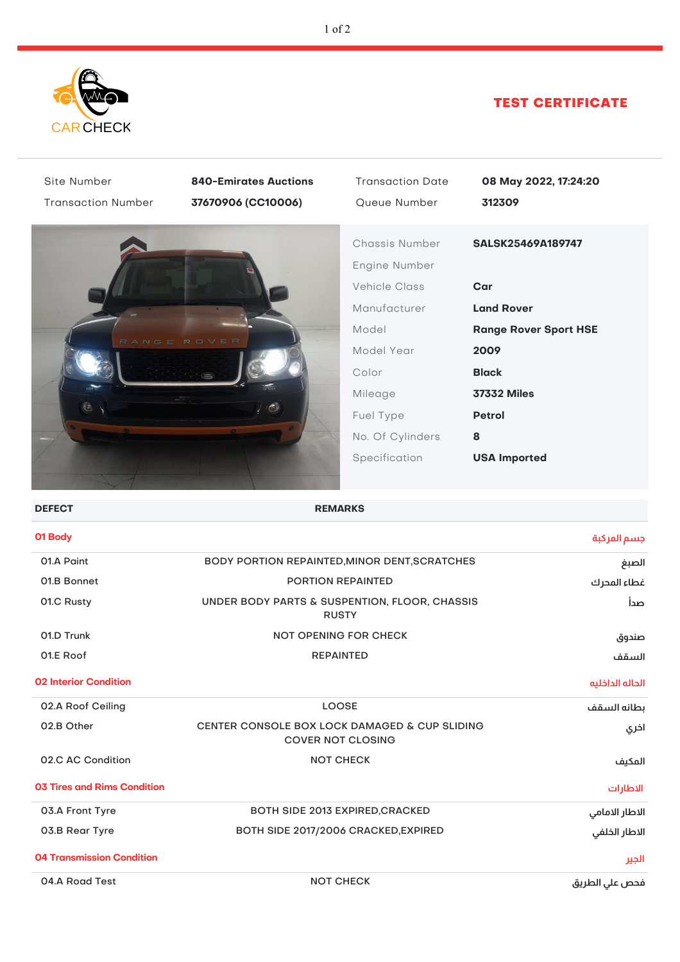

## TEST CERTIFICATE

| Site Number<br><b>Transaction Number</b> | <b>840-Emirates Auctions</b><br>37670906 (CC10006)                        | <b>Transaction Date</b><br>Queue Number                                                                                                                              | 08 May 2022, 17:24:20<br>312309                                                                                                                                          |  |  |
|------------------------------------------|---------------------------------------------------------------------------|----------------------------------------------------------------------------------------------------------------------------------------------------------------------|--------------------------------------------------------------------------------------------------------------------------------------------------------------------------|--|--|
|                                          |                                                                           | Chassis Number<br>Engine Number<br><b>Vehicle Class</b><br>Manufacturer<br>Model<br>Model Year<br>Color<br>Mileage<br>Fuel Type<br>No. Of Cylinders<br>Specification | SALSK25469A189747<br>Car<br><b>Land Rover</b><br><b>Range Rover Sport HSE</b><br>2009<br><b>Black</b><br><b>37332 Miles</b><br><b>Petrol</b><br>8<br><b>USA Imported</b> |  |  |
| <b>DEFECT</b>                            | <b>REMARKS</b>                                                            |                                                                                                                                                                      |                                                                                                                                                                          |  |  |
| 01 Body                                  |                                                                           |                                                                                                                                                                      | جسم المركبة                                                                                                                                                              |  |  |
| 01.A Paint                               | BODY PORTION REPAINTED, MINOR DENT, SCRATCHES                             |                                                                                                                                                                      | الصبغ                                                                                                                                                                    |  |  |
| 01.B Bonnet                              | PORTION REPAINTED                                                         |                                                                                                                                                                      | غطاء المحرك                                                                                                                                                              |  |  |
| 01.C Rusty                               | UNDER BODY PARTS & SUSPENTION, FLOOR, CHASSIS<br>صدأ<br><b>RUSTY</b>      |                                                                                                                                                                      |                                                                                                                                                                          |  |  |
| 01.D Trunk                               | <b>NOT OPENING FOR CHECK</b>                                              |                                                                                                                                                                      | صندوق                                                                                                                                                                    |  |  |
| 01.E Roof                                | <b>REPAINTED</b>                                                          |                                                                                                                                                                      | السقف                                                                                                                                                                    |  |  |
| <b>02 Interior Condition</b>             |                                                                           |                                                                                                                                                                      | الحاله الداخليه                                                                                                                                                          |  |  |
| 02.A Roof Ceiling                        | <b>LOOSE</b>                                                              |                                                                                                                                                                      | بطانه السقف                                                                                                                                                              |  |  |
| 02.B Other                               | CENTER CONSOLE BOX LOCK DAMAGED & CUP SLIDING<br><b>COVER NOT CLOSING</b> | اخري                                                                                                                                                                 |                                                                                                                                                                          |  |  |
| 02.C AC Condition                        | <b>NOT CHECK</b>                                                          |                                                                                                                                                                      | المكيف                                                                                                                                                                   |  |  |
| <b>03 Tires and Rims Condition</b>       |                                                                           |                                                                                                                                                                      | الاطارات                                                                                                                                                                 |  |  |
| 03.A Front Tyre                          | BOTH SIDE 2013 EXPIRED, CRACKED                                           |                                                                                                                                                                      | الاطار الامامي                                                                                                                                                           |  |  |
| 03.B Rear Tyre                           | BOTH SIDE 2017/2006 CRACKED, EXPIRED                                      |                                                                                                                                                                      | الاطار الخلفي                                                                                                                                                            |  |  |
| <b>04 Transmission Condition</b>         |                                                                           |                                                                                                                                                                      | الجير                                                                                                                                                                    |  |  |
| 04.A Road Test                           | <b>NOT CHECK</b>                                                          |                                                                                                                                                                      | فحص على الطريق                                                                                                                                                           |  |  |